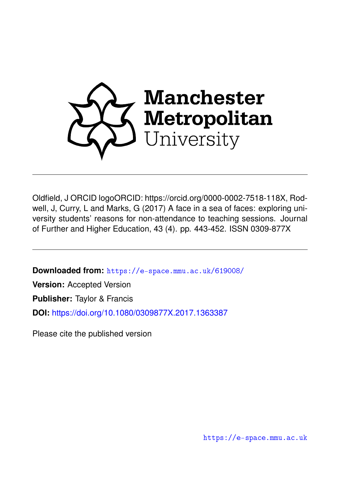

Oldfield, J ORCID logoORCID: https://orcid.org/0000-0002-7518-118X, Rodwell, J, Curry, L and Marks, G (2017) A face in a sea of faces: exploring university students' reasons for non-attendance to teaching sessions. Journal of Further and Higher Education, 43 (4). pp. 443-452. ISSN 0309-877X

**Downloaded from:** <https://e-space.mmu.ac.uk/619008/>

**Version:** Accepted Version

**Publisher:** Taylor & Francis

**DOI:** <https://doi.org/10.1080/0309877X.2017.1363387>

Please cite the published version

<https://e-space.mmu.ac.uk>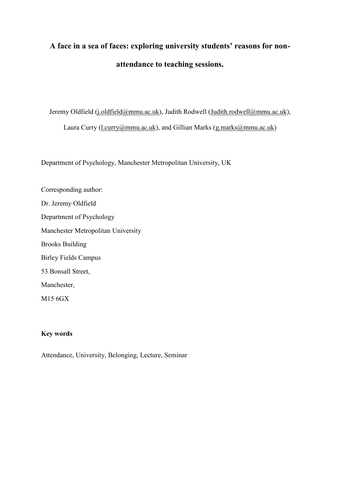# **A face in a sea of faces: exploring university students' reasons for nonattendance to teaching sessions.**

Jeremy Oldfield [\(j.oldfield@mmu.ac.uk\)](mailto:j.oldfield@mmu.ac.uk), Judith Rodwell [\(Judith.rodwell@mmu.ac.uk\)](mailto:Judith.rodwell@mmu.ac.uk), Laura Curry (Laurry (ammu.ac.uk), and Gillian Marks (g.marks (ammu.ac.uk)

Department of Psychology, Manchester Metropolitan University, UK

Corresponding author: Dr. Jeremy Oldfield Department of Psychology Manchester Metropolitan University Brooks Building Birley Fields Campus 53 Bonsall Street, Manchester, M15 6GX

# **Key words**

Attendance, University, Belonging, Lecture, Seminar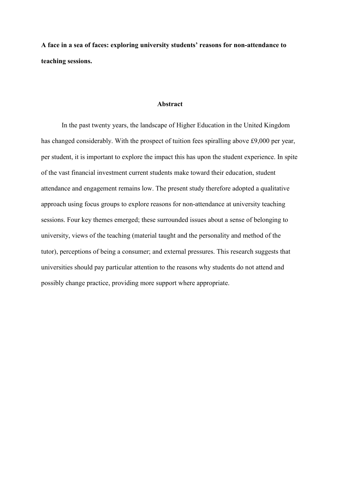**A face in a sea of faces: exploring university students' reasons for non-attendance to teaching sessions.** 

#### **Abstract**

In the past twenty years, the landscape of Higher Education in the United Kingdom has changed considerably. With the prospect of tuition fees spiralling above £9,000 per year, per student, it is important to explore the impact this has upon the student experience. In spite of the vast financial investment current students make toward their education, student attendance and engagement remains low. The present study therefore adopted a qualitative approach using focus groups to explore reasons for non-attendance at university teaching sessions. Four key themes emerged; these surrounded issues about a sense of belonging to university, views of the teaching (material taught and the personality and method of the tutor), perceptions of being a consumer; and external pressures. This research suggests that universities should pay particular attention to the reasons why students do not attend and possibly change practice, providing more support where appropriate.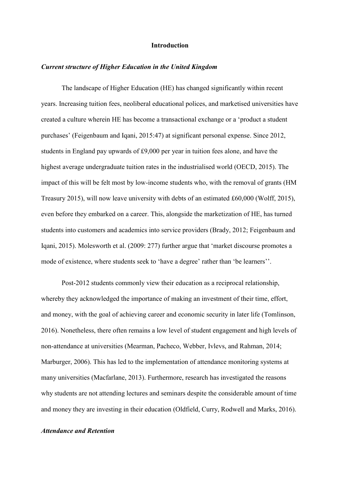#### **Introduction**

#### *Current structure of Higher Education in the United Kingdom*

The landscape of Higher Education (HE) has changed significantly within recent years. Increasing tuition fees, neoliberal educational polices, and marketised universities have created a culture wherein HE has become a transactional exchange or a 'product a student purchases' (Feigenbaum and Iqani, 2015:47) at significant personal expense. Since 2012, students in England pay upwards of £9,000 per year in tuition fees alone, and have the highest average undergraduate tuition rates in the industrialised world (OECD, 2015). The impact of this will be felt most by low-income students who, with the removal of grants (HM Treasury 2015), will now leave university with debts of an estimated £60,000 (Wolff, 2015), even before they embarked on a career. This, alongside the marketization of HE, has turned students into customers and academics into service providers (Brady, 2012; Feigenbaum and Iqani, 2015). Molesworth et al. (2009: 277) further argue that 'market discourse promotes a mode of existence, where students seek to 'have a degree' rather than 'be learners''.

Post-2012 students commonly view their education as a reciprocal relationship, whereby they acknowledged the importance of making an investment of their time, effort, and money, with the goal of achieving career and economic security in later life (Tomlinson, 2016). Nonetheless, there often remains a low level of student engagement and high levels of non-attendance at universities (Mearman, Pacheco, Webber, Ivlevs, and Rahman, 2014; Marburger, 2006). This has led to the implementation of attendance monitoring systems at many universities (Macfarlane, 2013). Furthermore, research has investigated the reasons why students are not attending lectures and seminars despite the considerable amount of time and money they are investing in their education (Oldfield, Curry, Rodwell and Marks, 2016).

# *Attendance and Retention*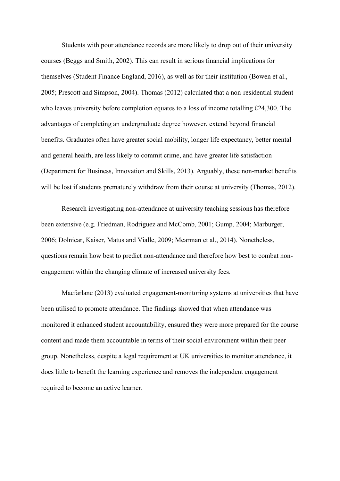Students with poor attendance records are more likely to drop out of their university courses (Beggs and Smith, 2002). This can result in serious financial implications for themselves (Student Finance England, 2016), as well as for their institution (Bowen et al., 2005; Prescott and Simpson, 2004). Thomas (2012) calculated that a non-residential student who leaves university before completion equates to a loss of income totalling £24,300. The advantages of completing an undergraduate degree however, extend beyond financial benefits. Graduates often have greater social mobility, longer life expectancy, better mental and general health, are less likely to commit crime, and have greater life satisfaction (Department for Business, Innovation and Skills, 2013). Arguably, these non-market benefits will be lost if students prematurely withdraw from their course at university (Thomas, 2012).

Research investigating non-attendance at university teaching sessions has therefore been extensive (e.g. Friedman, Rodriguez and McComb, 2001; Gump, 2004; Marburger, 2006; Dolnicar, Kaiser, Matus and Vialle, 2009; Mearman et al., 2014). Nonetheless, questions remain how best to predict non-attendance and therefore how best to combat nonengagement within the changing climate of increased university fees.

Macfarlane (2013) evaluated engagement-monitoring systems at universities that have been utilised to promote attendance. The findings showed that when attendance was monitored it enhanced student accountability, ensured they were more prepared for the course content and made them accountable in terms of their social environment within their peer group. Nonetheless, despite a legal requirement at UK universities to monitor attendance, it does little to benefit the learning experience and removes the independent engagement required to become an active learner.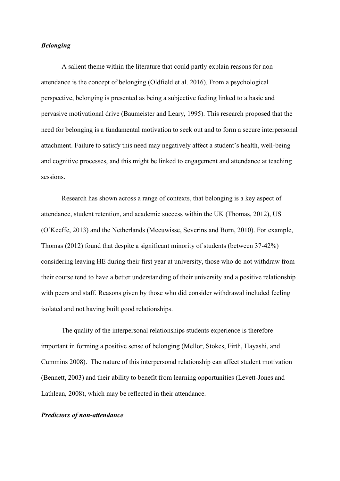# *Belonging*

A salient theme within the literature that could partly explain reasons for nonattendance is the concept of belonging (Oldfield et al. 2016). From a psychological perspective, belonging is presented as being a subjective feeling linked to a basic and pervasive motivational drive (Baumeister and Leary, 1995). This research proposed that the need for belonging is a fundamental motivation to seek out and to form a secure interpersonal attachment. Failure to satisfy this need may negatively affect a student's health, well-being and cognitive processes, and this might be linked to engagement and attendance at teaching sessions.

Research has shown across a range of contexts, that belonging is a key aspect of attendance, student retention, and academic success within the UK (Thomas, 2012), US (O'Keeffe, 2013) and the Netherlands (Meeuwisse, Severins and Born, 2010). For example, Thomas (2012) found that despite a significant minority of students (between 37-42%) considering leaving HE during their first year at university, those who do not withdraw from their course tend to have a better understanding of their university and a positive relationship with peers and staff. Reasons given by those who did consider withdrawal included feeling isolated and not having built good relationships.

The quality of the interpersonal relationships students experience is therefore important in forming a positive sense of belonging (Mellor, Stokes, Firth, Hayashi, and Cummins 2008). The nature of this interpersonal relationship can affect student motivation (Bennett, 2003) and their ability to benefit from learning opportunities (Levett-Jones and Lathlean, 2008), which may be reflected in their attendance.

#### *Predictors of non-attendance*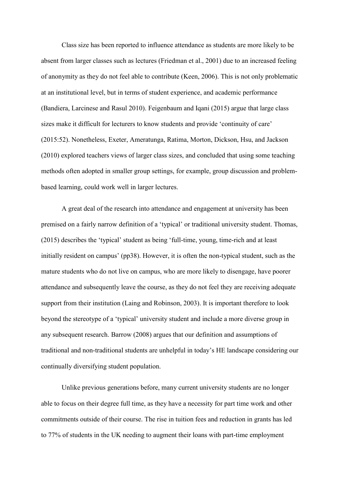Class size has been reported to influence attendance as students are more likely to be absent from larger classes such as lectures (Friedman et al., 2001) due to an increased feeling of anonymity as they do not feel able to contribute (Keen, 2006). This is not only problematic at an institutional level, but in terms of student experience, and academic performance (Bandiera, Larcinese and Rasul 2010). Feigenbaum and Iqani (2015) argue that large class sizes make it difficult for lecturers to know students and provide 'continuity of care' (2015:52). Nonetheless, Exeter, Ameratunga, Ratima, Morton, Dickson, Hsu, and Jackson (2010) explored teachers views of larger class sizes, and concluded that using some teaching methods often adopted in smaller group settings, for example, group discussion and problembased learning, could work well in larger lectures.

A great deal of the research into attendance and engagement at university has been premised on a fairly narrow definition of a 'typical' or traditional university student. Thomas, (2015) describes the 'typical' student as being 'full-time, young, time-rich and at least initially resident on campus' (pp38). However, it is often the non-typical student, such as the mature students who do not live on campus, who are more likely to disengage, have poorer attendance and subsequently leave the course, as they do not feel they are receiving adequate support from their institution (Laing and Robinson, 2003). It is important therefore to look beyond the stereotype of a 'typical' university student and include a more diverse group in any subsequent research. Barrow (2008) argues that our definition and assumptions of traditional and non-traditional students are unhelpful in today's HE landscape considering our continually diversifying student population.

Unlike previous generations before, many current university students are no longer able to focus on their degree full time, as they have a necessity for part time work and other commitments outside of their course. The rise in tuition fees and reduction in grants has led to 77% of students in the UK needing to augment their loans with part-time employment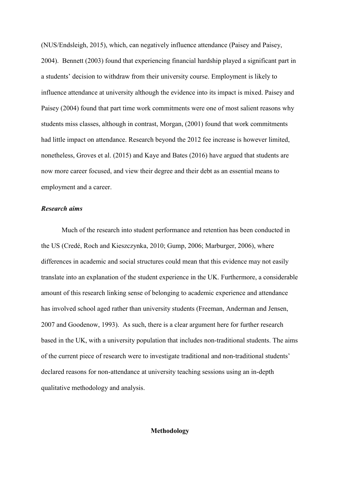(NUS/Endsleigh, 2015), which, can negatively influence attendance (Paisey and Paisey, 2004). Bennett (2003) found that experiencing financial hardship played a significant part in a students' decision to withdraw from their university course. Employment is likely to influence attendance at university although the evidence into its impact is mixed. Paisey and Paisey (2004) found that part time work commitments were one of most salient reasons why students miss classes, although in contrast, Morgan, (2001) found that work commitments had little impact on attendance. Research beyond the 2012 fee increase is however limited, nonetheless, Groves et al. (2015) and Kaye and Bates (2016) have argued that students are now more career focused, and view their degree and their debt as an essential means to employment and a career.

### *Research aims*

Much of the research into student performance and retention has been conducted in the US (Credé, Roch and Kieszczynka, 2010; Gump, 2006; Marburger, 2006), where differences in academic and social structures could mean that this evidence may not easily translate into an explanation of the student experience in the UK. Furthermore, a considerable amount of this research linking sense of belonging to academic experience and attendance has involved school aged rather than university students (Freeman, Anderman and Jensen, 2007 and Goodenow, 1993). As such, there is a clear argument here for further research based in the UK, with a university population that includes non-traditional students. The aims of the current piece of research were to investigate traditional and non-traditional students' declared reasons for non-attendance at university teaching sessions using an in-depth qualitative methodology and analysis.

# **Methodology**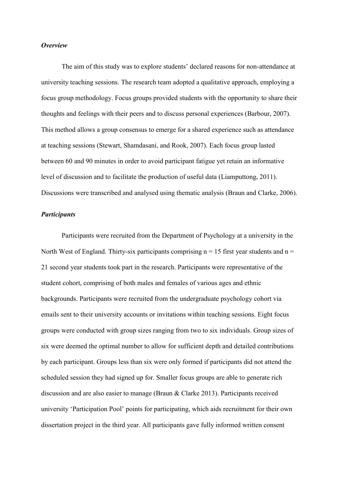#### *Overview*

The aim of this study was to explore students' declared reasons for non-attendance at university teaching sessions. The research team adopted a qualitative approach, employing a focus group methodology. Focus groups provided students with the opportunity to share their thoughts and feelings with their peers and to discuss personal experiences (Barbour, 2007). This method allows a group consensus to emerge for a shared experience such as attendance at teaching sessions (Stewart, Shamdasani, and Rook, 2007). Each focus group lasted between 60 and 90 minutes in order to avoid participant fatigue yet retain an informative level of discussion and to facilitate the production of useful data (Liamputtong, 2011). Discussions were transcribed and analysed using thematic analysis (Braun and Clarke, 2006).

### *Participants*

Participants were recruited from the Department of Psychology at a university in the North West of England. Thirty-six participants comprising  $n = 15$  first year students and  $n =$ 21 second year students took part in the research. Participants were representative of the student cohort, comprising of both males and females of various ages and ethnic backgrounds. Participants were recruited from the undergraduate psychology cohort via emails sent to their university accounts or invitations within teaching sessions. Eight focus groups were conducted with group sizes ranging from two to six individuals. Group sizes of six were deemed the optimal number to allow for sufficient depth and detailed contributions by each participant. Groups less than six were only formed if participants did not attend the scheduled session they had signed up for. Smaller focus groups are able to generate rich discussion and are also easier to manage (Braun & Clarke 2013). Participants received university 'Participation Pool' points for participating, which aids recruitment for their own dissertation project in the third year. All participants gave fully informed written consent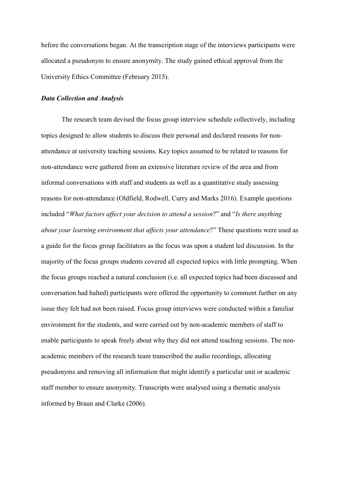before the conversations began. At the transcription stage of the interviews participants were allocated a pseudonym to ensure anonymity. The study gained ethical approval from the University Ethics Committee (February 2015).

# *Data Collection and Analysis*

The research team devised the focus group interview schedule collectively, including topics designed to allow students to discuss their personal and declared reasons for nonattendance at university teaching sessions. Key topics assumed to be related to reasons for non-attendance were gathered from an extensive literature review of the area and from informal conversations with staff and students as well as a quantitative study assessing reasons for non-attendance (Oldfield, Rodwell, Curry and Marks 2016). Example questions included "*What factors affect your decision to attend a session*?" and "*Is there anything about your learning environment that affects your attendance*?" These questions were used as a guide for the focus group facilitators as the focus was upon a student led discussion. In the majority of the focus groups students covered all expected topics with little prompting. When the focus groups reached a natural conclusion (i.e. all expected topics had been discussed and conversation had halted) participants were offered the opportunity to comment further on any issue they felt had not been raised. Focus group interviews were conducted within a familiar environment for the students, and were carried out by non-academic members of staff to enable participants to speak freely about why they did not attend teaching sessions. The nonacademic members of the research team transcribed the audio recordings, allocating pseudonyms and removing all information that might identify a particular unit or academic staff member to ensure anonymity. Transcripts were analysed using a thematic analysis informed by Braun and Clarke (2006).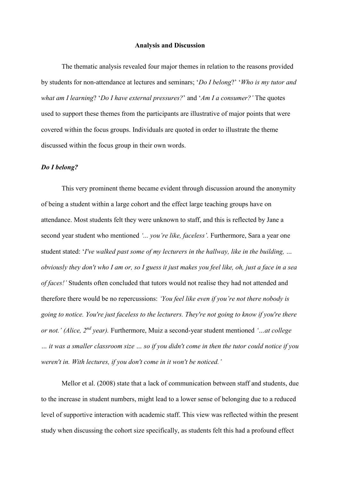#### **Analysis and Discussion**

The thematic analysis revealed four major themes in relation to the reasons provided by students for non-attendance at lectures and seminars; '*Do I belong*?' '*Who is my tutor and what am I learning*? '*Do I have external pressures?*' and '*Am I a consumer?'* The quotes used to support these themes from the participants are illustrative of major points that were covered within the focus groups. Individuals are quoted in order to illustrate the theme discussed within the focus group in their own words.

#### *Do I belong?*

This very prominent theme became evident through discussion around the anonymity of being a student within a large cohort and the effect large teaching groups have on attendance. Most students felt they were unknown to staff, and this is reflected by Jane a second year student who mentioned *'... you're like, faceless'.* Furthermore, Sara a year one student stated: '*I've walked past some of my lecturers in the hallway, like in the building, … obviously they don't who I am or, so I guess it just makes you feel like, oh, just a face in a sea of faces!'* Students often concluded that tutors would not realise they had not attended and therefore there would be no repercussions: *'You feel like even if you're not there nobody is going to notice. You're just faceless to the lecturers. They're not going to know if you're there or not.' (Alice, 2nd year).* Furthermore, Muiz a second-year student mentioned *'…at college … it was a smaller classroom size … so if you didn't come in then the tutor could notice if you weren't in. With lectures, if you don't come in it won't be noticed.'*

Mellor et al. (2008) state that a lack of communication between staff and students, due to the increase in student numbers, might lead to a lower sense of belonging due to a reduced level of supportive interaction with academic staff. This view was reflected within the present study when discussing the cohort size specifically, as students felt this had a profound effect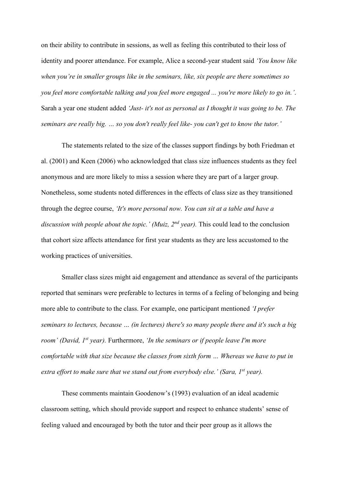on their ability to contribute in sessions, as well as feeling this contributed to their loss of identity and poorer attendance. For example, Alice a second-year student said *'You know like when you're in smaller groups like in the seminars, like, six people are there sometimes so you feel more comfortable talking and you feel more engaged ... you're more likely to go in.'*. Sarah a year one student added *'Just- it's not as personal as I thought it was going to be. The seminars are really big. … so you don't really feel like- you can't get to know the tutor.'*

The statements related to the size of the classes support findings by both Friedman et al. (2001) and Keen (2006) who acknowledged that class size influences students as they feel anonymous and are more likely to miss a session where they are part of a larger group. Nonetheless, some students noted differences in the effects of class size as they transitioned through the degree course, *'It's more personal now. You can sit at a table and have a discussion with people about the topic.' (Muiz, 2nd year).* This could lead to the conclusion that cohort size affects attendance for first year students as they are less accustomed to the working practices of universities.

Smaller class sizes might aid engagement and attendance as several of the participants reported that seminars were preferable to lectures in terms of a feeling of belonging and being more able to contribute to the class. For example, one participant mentioned *'I prefer seminars to lectures, because … (in lectures) there's so many people there and it's such a big room' (David, 1st year).* Furthermore, *'In the seminars or if people leave I'm more comfortable with that size because the classes from sixth form … Whereas we have to put in extra effort to make sure that we stand out from everybody else.' (Sara, 1st year).*

These comments maintain Goodenow's (1993) evaluation of an ideal academic classroom setting, which should provide support and respect to enhance students' sense of feeling valued and encouraged by both the tutor and their peer group as it allows the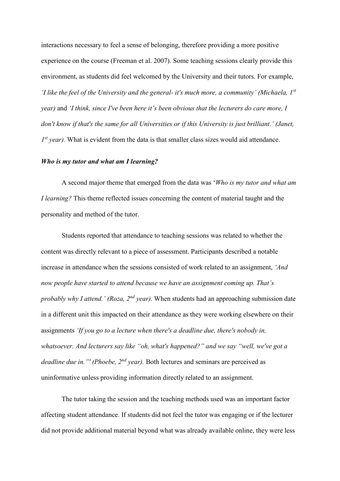interactions necessary to feel a sense of belonging, therefore providing a more positive experience on the course (Freeman et al. 2007). Some teaching sessions clearly provide this environment, as students did feel welcomed by the University and their tutors. For example, *'I like the feel of the University and the general- it's much more, a community' (Michaela, 1st year)* and *'I think, since I've been here it's been obvious that the lecturers do care more, I don't know if that's the same for all Universities or if this University is just brilliant.' (Janet, 1 st year).* What is evident from the data is that smaller class sizes would aid attendance.

# *Who is my tutor and what am I learning?*

A second major theme that emerged from the data was '*Who is my tutor and what am I learning?* This theme reflected issues concerning the content of material taught and the personality and method of the tutor.

Students reported that attendance to teaching sessions was related to whether the content was directly relevant to a piece of assessment. Participants described a notable increase in attendance when the sessions consisted of work related to an assignment, *'And now people have started to attend because we have an assignment coming up. That's probably why I attend.' (Roza, 2nd year).* When students had an approaching submission date in a different unit this impacted on their attendance as they were working elsewhere on their assignments *'If you go to a lecture when there's a deadline due, there's nobody in, whatsoever. And lecturers say like "oh, what's happened?" and we say "well, we've got a deadline due in."' (Phoebe, 2nd year).* Both lectures and seminars are perceived as uninformative unless providing information directly related to an assignment.

The tutor taking the session and the teaching methods used was an important factor affecting student attendance. If students did not feel the tutor was engaging or if the lecturer did not provide additional material beyond what was already available online, they were less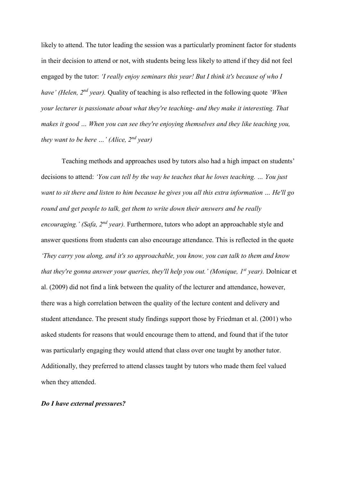likely to attend. The tutor leading the session was a particularly prominent factor for students in their decision to attend or not, with students being less likely to attend if they did not feel engaged by the tutor: *'I really enjoy seminars this year! But I think it's because of who I have' (Helen, 2nd year).* Quality of teaching is also reflected in the following quote *'When your lecturer is passionate about what they're teaching- and they make it interesting. That makes it good … When you can see they're enjoying themselves and they like teaching you, they want to be here …' (Alice, 2nd year)*

Teaching methods and approaches used by tutors also had a high impact on students' decisions to attend: *'You can tell by the way he teaches that he loves teaching. … You just want to sit there and listen to him because he gives you all this extra information … He'll go round and get people to talk, get them to write down their answers and be really encouraging.' (Safa, 2nd year).* Furthermore, tutors who adopt an approachable style and answer questions from students can also encourage attendance. This is reflected in the quote *'They carry you along, and it's so approachable, you know, you can talk to them and know that they're gonna answer your queries, they'll help you out.' (Monique, 1st year).* Dolnicar et al. (2009) did not find a link between the quality of the lecturer and attendance, however, there was a high correlation between the quality of the lecture content and delivery and student attendance. The present study findings support those by Friedman et al. (2001) who asked students for reasons that would encourage them to attend, and found that if the tutor was particularly engaging they would attend that class over one taught by another tutor. Additionally, they preferred to attend classes taught by tutors who made them feel valued when they attended.

# *Do I have external pressures?*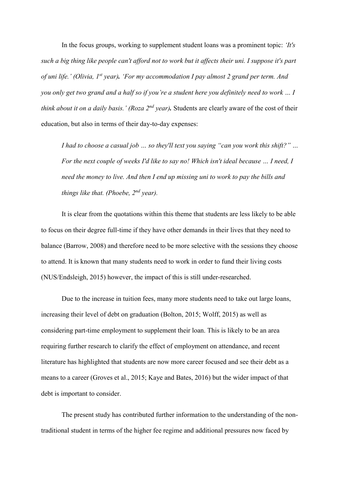In the focus groups, working to supplement student loans was a prominent topic: *'It's such a big thing like people can't afford not to work but it affects their uni. I suppose it's part of uni life.' (Olivia, 1st year). 'For my accommodation I pay almost 2 grand per term. And you only get two grand and a half so if you're a student here you definitely need to work … I think about it on a daily basis.' (Roza 2nd year).* Students are clearly aware of the cost of their education, but also in terms of their day-to-day expenses:

*I had to choose a casual job … so they'll text you saying "can you work this shift?" … For the next couple of weeks I'd like to say no! Which isn't ideal because ... I need, I need the money to live. And then I end up missing uni to work to pay the bills and things like that. (Phoebe, 2nd year).*

It is clear from the quotations within this theme that students are less likely to be able to focus on their degree full-time if they have other demands in their lives that they need to balance (Barrow, 2008) and therefore need to be more selective with the sessions they choose to attend. It is known that many students need to work in order to fund their living costs (NUS/Endsleigh, 2015) however, the impact of this is still under-researched.

Due to the increase in tuition fees, many more students need to take out large loans, increasing their level of debt on graduation (Bolton, 2015; Wolff, 2015) as well as considering part-time employment to supplement their loan. This is likely to be an area requiring further research to clarify the effect of employment on attendance, and recent literature has highlighted that students are now more career focused and see their debt as a means to a career (Groves et al., 2015; Kaye and Bates, 2016) but the wider impact of that debt is important to consider.

The present study has contributed further information to the understanding of the nontraditional student in terms of the higher fee regime and additional pressures now faced by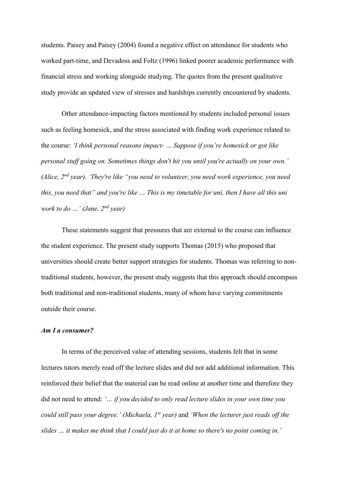students. Paisey and Paisey (2004) found a negative effect on attendance for students who worked part-time, and Devadoss and Foltz (1996) linked poorer academic performance with financial stress and working alongside studying. The quotes from the present qualitative study provide an updated view of stresses and hardships currently encountered by students.

Other attendance-impacting factors mentioned by students included personal issues such as feeling homesick, and the stress associated with finding work experience related to the course: *'I think personal reasons impact- … Suppose if you're homesick or got like personal stuff going on. Sometimes things don't hit you until you're actually on your own.' (Alice, 2nd year). 'They're like "you need to volunteer, you need work experience, you need this, you need that" and you're like … This is my timetable for uni, then I have all this uni work to do …' (Jane, 2nd year)*

These statements suggest that pressures that are external to the course can influence the student experience. The present study supports Thomas (2015) who proposed that universities should create better support strategies for students. Thomas was referring to nontraditional students, however, the present study suggests that this approach should encompass both traditional and non-traditional students, many of whom have varying commitments outside their course.

## *Am I a consumer?*

In terms of the perceived value of attending sessions, students felt that in some lectures tutors merely read off the lecture slides and did not add additional information. This reinforced their belief that the material can be read online at another time and therefore they did not need to attend: *'… if you decided to only read lecture slides in your own time you could still pass your degree.' (Michaela, 1st year)* and *'When the lecturer just reads off the slides … it makes me think that I could just do it at home so there's no point coming in.'*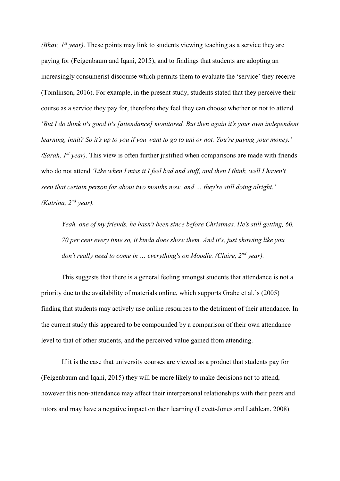*(Bhav, 1st year)*. These points may link to students viewing teaching as a service they are paying for (Feigenbaum and Iqani, 2015), and to findings that students are adopting an increasingly consumerist discourse which permits them to evaluate the 'service' they receive (Tomlinson, 2016). For example, in the present study, students stated that they perceive their course as a service they pay for, therefore they feel they can choose whether or not to attend '*But I do think it's good it's [attendance] monitored. But then again it's your own independent learning, innit? So it's up to you if you want to go to uni or not. You're paying your money.' (Sarah, 1st year).* This view is often further justified when comparisons are made with friends who do not attend *'Like when I miss it I feel bad and stuff, and then I think, well I haven't seen that certain person for about two months now, and … they're still doing alright.' (Katrina, 2nd year).*

*Yeah, one of my friends, he hasn't been since before Christmas. He's still getting, 60, 70 per cent every time so, it kinda does show them. And it's, just showing like you don't really need to come in … everything's on Moodle. (Claire, 2nd year).*

This suggests that there is a general feeling amongst students that attendance is not a priority due to the availability of materials online, which supports Grabe et al.'s (2005) finding that students may actively use online resources to the detriment of their attendance. In the current study this appeared to be compounded by a comparison of their own attendance level to that of other students, and the perceived value gained from attending.

If it is the case that university courses are viewed as a product that students pay for (Feigenbaum and Iqani, 2015) they will be more likely to make decisions not to attend, however this non-attendance may affect their interpersonal relationships with their peers and tutors and may have a negative impact on their learning (Levett-Jones and Lathlean, 2008).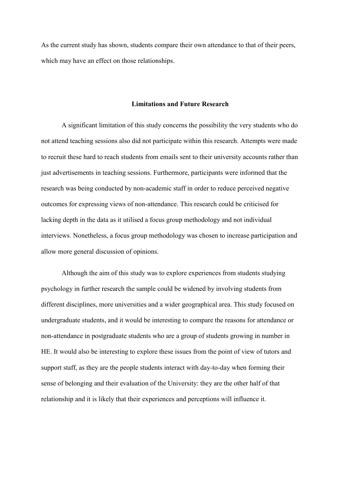As the current study has shown, students compare their own attendance to that of their peers, which may have an effect on those relationships.

# **Limitations and Future Research**

A significant limitation of this study concerns the possibility the very students who do not attend teaching sessions also did not participate within this research. Attempts were made to recruit these hard to reach students from emails sent to their university accounts rather than just advertisements in teaching sessions. Furthermore, participants were informed that the research was being conducted by non-academic staff in order to reduce perceived negative outcomes for expressing views of non-attendance. This research could be criticised for lacking depth in the data as it utilised a focus group methodology and not individual interviews. Nonetheless, a focus group methodology was chosen to increase participation and allow more general discussion of opinions.

Although the aim of this study was to explore experiences from students studying psychology in further research the sample could be widened by involving students from different disciplines, more universities and a wider geographical area. This study focused on undergraduate students, and it would be interesting to compare the reasons for attendance or non-attendance in postgraduate students who are a group of students growing in number in HE. It would also be interesting to explore these issues from the point of view of tutors and support staff, as they are the people students interact with day-to-day when forming their sense of belonging and their evaluation of the University: they are the other half of that relationship and it is likely that their experiences and perceptions will influence it.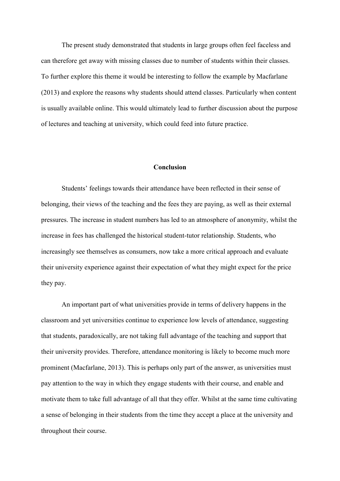The present study demonstrated that students in large groups often feel faceless and can therefore get away with missing classes due to number of students within their classes. To further explore this theme it would be interesting to follow the example by Macfarlane (2013) and explore the reasons why students should attend classes. Particularly when content is usually available online. This would ultimately lead to further discussion about the purpose of lectures and teaching at university, which could feed into future practice.

# **Conclusion**

Students' feelings towards their attendance have been reflected in their sense of belonging, their views of the teaching and the fees they are paying, as well as their external pressures. The increase in student numbers has led to an atmosphere of anonymity, whilst the increase in fees has challenged the historical student-tutor relationship. Students, who increasingly see themselves as consumers, now take a more critical approach and evaluate their university experience against their expectation of what they might expect for the price they pay.

An important part of what universities provide in terms of delivery happens in the classroom and yet universities continue to experience low levels of attendance, suggesting that students, paradoxically, are not taking full advantage of the teaching and support that their university provides. Therefore, attendance monitoring is likely to become much more prominent (Macfarlane, 2013). This is perhaps only part of the answer, as universities must pay attention to the way in which they engage students with their course, and enable and motivate them to take full advantage of all that they offer. Whilst at the same time cultivating a sense of belonging in their students from the time they accept a place at the university and throughout their course.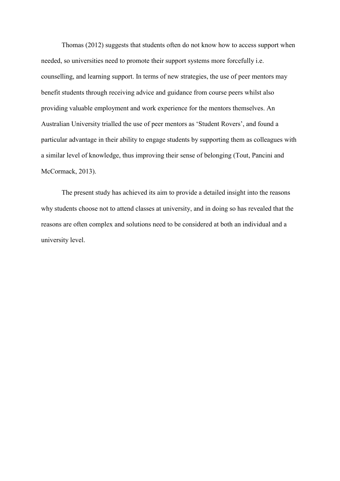Thomas (2012) suggests that students often do not know how to access support when needed, so universities need to promote their support systems more forcefully i.e. counselling, and learning support. In terms of new strategies, the use of peer mentors may benefit students through receiving advice and guidance from course peers whilst also providing valuable employment and work experience for the mentors themselves. An Australian University trialled the use of peer mentors as 'Student Rovers', and found a particular advantage in their ability to engage students by supporting them as colleagues with a similar level of knowledge, thus improving their sense of belonging (Tout, Pancini and McCormack, 2013).

The present study has achieved its aim to provide a detailed insight into the reasons why students choose not to attend classes at university, and in doing so has revealed that the reasons are often complex and solutions need to be considered at both an individual and a university level.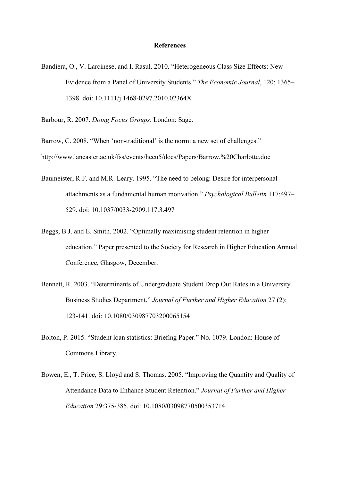#### **References**

- Bandiera, O., V. Larcinese, and I. Rasul. 2010. "Heterogeneous Class Size Effects: New Evidence from a Panel of University Students." *The Economic Journal*, 120: 1365– 1398. doi: 10.1111/j.1468-0297.2010.02364X
- Barbour, R. 2007. *Doing Focus Groups*. London: Sage.

Barrow, C. 2008. "When 'non-traditional' is the norm: a new set of challenges." <http://www.lancaster.ac.uk/fss/events/hecu5/docs/Papers/Barrow,%20Charlotte.doc>

- Baumeister, R.F. and M.R. Leary. 1995. "The need to belong: Desire for interpersonal attachments as a fundamental human motivation." *Psychological Bulletin* 117:497– 529. doi: 10.1037/0033-2909.117.3.497
- Beggs, B.J. and E. Smith. 2002. "Optimally maximising student retention in higher education." Paper presented to the Society for Research in Higher Education Annual Conference, Glasgow, December.
- Bennett, R. 2003. "Determinants of Undergraduate Student Drop Out Rates in a University Business Studies Department." *Journal of Further and Higher Education* 27 (2): 123-141. doi: 10.1080/030987703200065154
- Bolton, P. 2015. "Student loan statistics: Briefing Paper." No. 1079. London: House of Commons Library.
- Bowen, E., T. Price, S. Lloyd and S. Thomas. 2005. "Improving the Quantity and Quality of Attendance Data to Enhance Student Retention." *Journal of Further and Higher Education* 29:375-385. doi: 10.1080/03098770500353714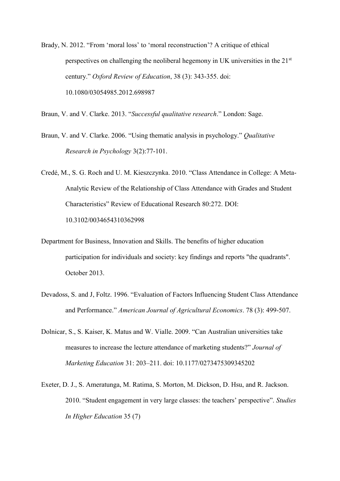Brady, N. 2012. "From 'moral loss' to 'moral reconstruction'? A critique of ethical perspectives on challenging the neoliberal hegemony in UK universities in the 21<sup>st</sup> century." *Oxford Review of Education*, 38 (3): 343-355. doi: 10.1080/03054985.2012.698987

Braun, V. and V. Clarke. 2013. "*Successful qualitative research*." London: Sage.

- Braun, V. and V. Clarke. 2006. "Using thematic analysis in psychology." *Qualitative Research in Psychology* 3(2):77-101.
- Credé, M., S. G. Roch and U. M. Kieszczynka. 2010. "Class Attendance in College: A Meta-Analytic Review of the Relationship of Class Attendance with Grades and Student Characteristics" Review of Educational Research 80:272. DOI: 10.3102/0034654310362998
- Department for Business, Innovation and Skills. The benefits of higher education participation for individuals and society: key findings and reports "the quadrants". October 2013.
- Devadoss, S. and J, Foltz. 1996. "Evaluation of Factors Influencing Student Class Attendance and Performance." *American Journal of Agricultural Economics*. 78 (3): 499-507.
- Dolnicar, S., S. Kaiser, K. Matus and W. Vialle. 2009. "Can Australian universities take measures to increase the lecture attendance of marketing students?" *Journal of Marketing Education* 31: 203–211. doi: 10.1177/0273475309345202
- Exeter, D. J., S. Ameratunga, M. Ratima, S. Morton, M. Dickson, D. Hsu, and R. Jackson. 2010. "Student engagement in very large classes: the teachers' perspective". *Studies In Higher Education* 35 (7)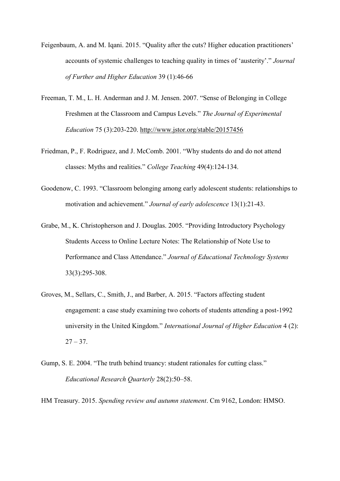- Feigenbaum, A. and M. Iqani. 2015. "Quality after the cuts? Higher education practitioners' accounts of systemic challenges to teaching quality in times of 'austerity'." *Journal of Further and Higher Education* 39 (1):46-66
- Freeman, T. M., L. H. Anderman and J. M. Jensen. 2007. "Sense of Belonging in College Freshmen at the Classroom and Campus Levels." *The Journal of Experimental Education* 75 (3):203-220.<http://www.jstor.org/stable/20157456>
- Friedman, P., F. Rodriguez, and J. McComb. 2001. "Why students do and do not attend classes: Myths and realities." *College Teaching* 49(4):124-134.
- Goodenow, C. 1993. "Classroom belonging among early adolescent students: relationships to motivation and achievement." *Journal of early adolescence* 13(1):21-43.
- Grabe, M., K. Christopherson and J. Douglas. 2005. "Providing Introductory Psychology Students Access to Online Lecture Notes: The Relationship of Note Use to Performance and Class Attendance." *Journal of Educational Technology Systems* 33(3):295-308.
- Groves, M., Sellars, C., Smith, J., and Barber, A. 2015. "Factors affecting student engagement: a case study examining two cohorts of students attending a post-1992 university in the United Kingdom." *International Journal of Higher Education* 4 (2):  $27 - 37$ .
- Gump, S. E. 2004. "The truth behind truancy: student rationales for cutting class." *Educational Research Quarterly* 28(2):50–58.
- HM Treasury. 2015. *Spending review and autumn statement*. Cm 9162, London: HMSO.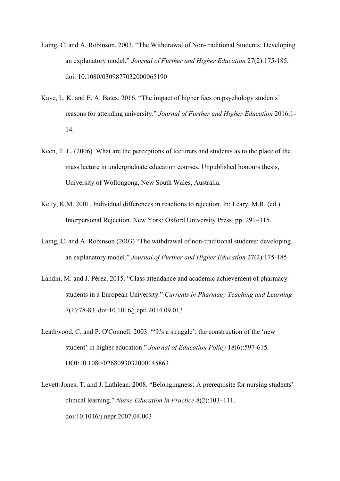- Laing, C. and A. Robinson. 2003. "The Withdrawal of Non-traditional Students: Developing an explanatory model." *Journal of Further and Higher Education* 27(2):175-185. doi: 10.1080/0309877032000065190
- Kaye, L. K. and E. A. Bates. 2016. "The impact of higher fees on psychology students' reasons for attending university." *Journal of Further and Higher Education* 2016:1- 14.
- Keen, T. L. (2006). What are the perceptions of lecturers and students as to the place of the mass lecture in undergraduate education courses. Unpublished honours thesis, University of Wollongong, New South Wales, Australia.
- Kelly, K.M. 2001. Individual differences in reactions to rejection. In: Leary, M.R. (ed.) Interpersonal Rejection. New York: Oxford University Press, pp. 291–315.
- Laing, C. and A. Robinson (2003) "The withdrawal of non-traditional students: developing an explanatory model." *Journal of Further and Higher Education* 27(2):175-185
- Landin, M. and J. Pérez. 2015. "Class attendance and academic achievement of pharmacy students in a European University." *Currents in Pharmacy Teaching and Learning* 7(1):78-83. doi:10.1016/j.cptl.2014.09.013
- Leathwood, C. and P. O'Connell. 2003. "'It's a struggle': the construction of the 'new student' in higher education." *Journal of Education Policy* 18(6):597-615. DOI:10.1080/0268093032000145863
- Levett-Jones, T. and J. Lathlean. 2008. "Belongingness: A prerequisite for nursing students' clinical learning." *Nurse Education in Practice* 8(2):103–111. doi:10.1016/j.nepr.2007.04.003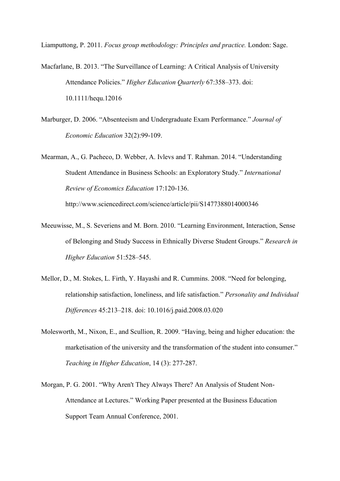Liamputtong, P. 2011. *Focus group methodology: Principles and practice.* London: Sage.

Macfarlane, B. 2013. "The Surveillance of Learning: A Critical Analysis of University Attendance Policies." *Higher Education Quarterly* 67:358–373. doi: 10.1111/hequ.12016

- Marburger, D. 2006. "Absenteeism and Undergraduate Exam Performance." *Journal of Economic Education* 32(2):99-109.
- Mearman, A., G. Pacheco, D. Webber, A. Ivlevs and T. Rahman. 2014. "Understanding Student Attendance in Business Schools: an Exploratory Study." *International Review of Economics Education* 17:120-136.

http://www.sciencedirect.com/science/article/pii/S1477388014000346

- Meeuwisse, M., S. Severiens and M. Born. 2010. "Learning Environment, Interaction, Sense of Belonging and Study Success in Ethnically Diverse Student Groups." *Research in Higher Education* 51:528–545.
- Mellor, D., M. Stokes, L. Firth, Y. Hayashi and R. Cummins. 2008. "Need for belonging, relationship satisfaction, loneliness, and life satisfaction." *Personality and Individual Differences* 45:213–218. doi: 10.1016/j.paid.2008.03.020
- Molesworth, M., Nixon, E., and Scullion, R. 2009. "Having, being and higher education: the marketisation of the university and the transformation of the student into consumer." *Teaching in Higher Education*, 14 (3): 277-287.
- Morgan, P. G. 2001. "Why Aren't They Always There? An Analysis of Student Non-Attendance at Lectures." Working Paper presented at the Business Education Support Team Annual Conference, 2001.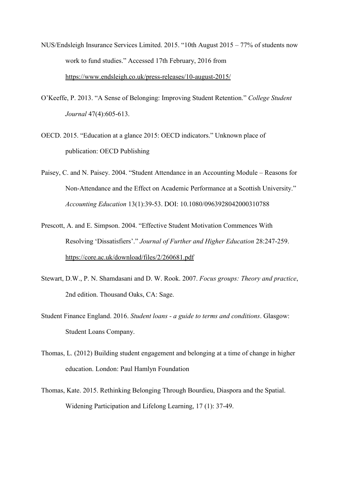- NUS/Endsleigh Insurance Services Limited. 2015. "10th August 2015 77% of students now work to fund studies." Accessed 17th February, 2016 from <https://www.endsleigh.co.uk/press-releases/10-august-2015/>
- O'Keeffe, P. 2013. "A Sense of Belonging: Improving Student Retention." *College Student Journal* 47(4):605-613.
- OECD. 2015. "Education at a glance 2015: OECD indicators." Unknown place of publication: OECD Publishing
- Paisey, C. and N. Paisey. 2004. "Student Attendance in an Accounting Module Reasons for Non-Attendance and the Effect on Academic Performance at a Scottish University." *Accounting Education* 13(1):39-53. DOI: 10.1080/0963928042000310788
- Prescott, A. and E. Simpson. 2004. "Effective Student Motivation Commences With Resolving 'Dissatisfiers'." *Journal of Further and Higher Education* 28:247-259. <https://core.ac.uk/download/files/2/260681.pdf>
- Stewart, D.W., P. N. Shamdasani and D. W. Rook. 2007. *Focus groups: Theory and practice*, 2nd edition. Thousand Oaks, CA: Sage.
- Student Finance England. 2016. *Student loans - a guide to terms and conditions*. Glasgow: Student Loans Company.
- Thomas, L. (2012) Building student engagement and belonging at a time of change in higher education. London: Paul Hamlyn Foundation
- Thomas, Kate. 2015. Rethinking Belonging Through Bourdieu, Diaspora and the Spatial. Widening Participation and Lifelong Learning, 17 (1): 37-49.